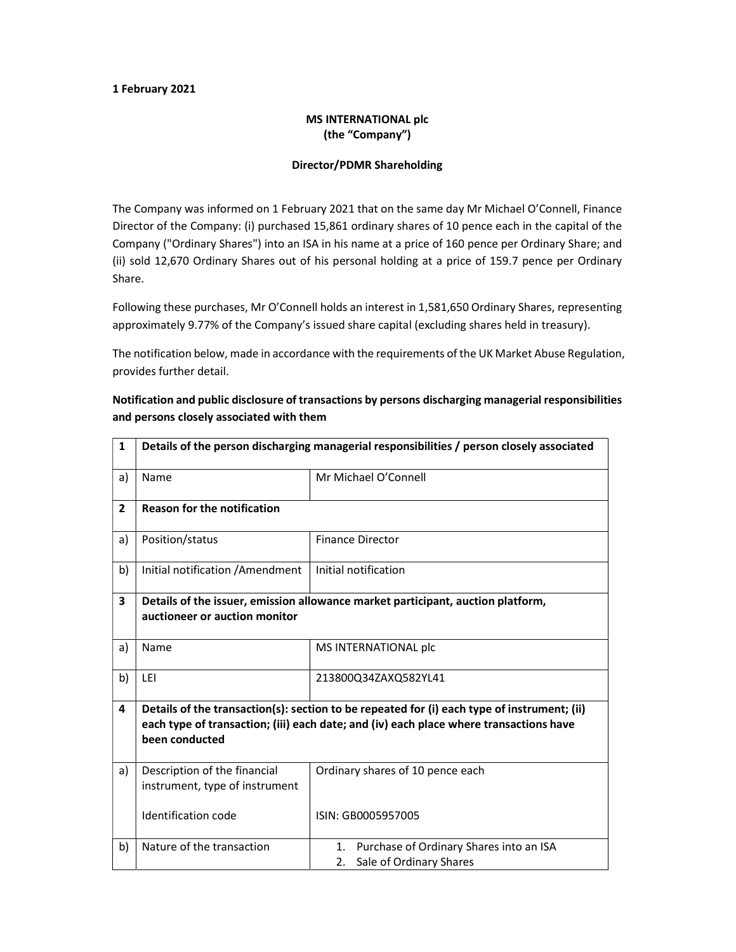#### 1 February 2021

### MS INTERNATIONAL plc (the "Company")

#### Director/PDMR Shareholding

The Company was informed on 1 February 2021 that on the same day Mr Michael O'Connell, Finance Director of the Company: (i) purchased 15,861 ordinary shares of 10 pence each in the capital of the Company ("Ordinary Shares") into an ISA in his name at a price of 160 pence per Ordinary Share; and (ii) sold 12,670 Ordinary Shares out of his personal holding at a price of 159.7 pence per Ordinary Share.

Following these purchases, Mr O'Connell holds an interest in 1,581,650 Ordinary Shares, representing approximately 9.77% of the Company's issued share capital (excluding shares held in treasury).

The notification below, made in accordance with the requirements of the UK Market Abuse Regulation, provides further detail.

## Notification and public disclosure of transactions by persons discharging managerial responsibilities and persons closely associated with them

| $\mathbf{1}$   | Details of the person discharging managerial responsibilities / person closely associated                                                                                                               |                                                                                |  |
|----------------|---------------------------------------------------------------------------------------------------------------------------------------------------------------------------------------------------------|--------------------------------------------------------------------------------|--|
| a)             | Name                                                                                                                                                                                                    | Mr Michael O'Connell                                                           |  |
| $\overline{2}$ | <b>Reason for the notification</b>                                                                                                                                                                      |                                                                                |  |
| a)             | Position/status                                                                                                                                                                                         | <b>Finance Director</b>                                                        |  |
| b)             | Initial notification / Amendment                                                                                                                                                                        | Initial notification                                                           |  |
| 3              | Details of the issuer, emission allowance market participant, auction platform,<br>auctioneer or auction monitor                                                                                        |                                                                                |  |
| a)             | Name                                                                                                                                                                                                    | MS INTERNATIONAL plc                                                           |  |
| b)             | LEI                                                                                                                                                                                                     | 213800Q34ZAXQ582YL41                                                           |  |
| 4              | Details of the transaction(s): section to be repeated for (i) each type of instrument; (ii)<br>each type of transaction; (iii) each date; and (iv) each place where transactions have<br>been conducted |                                                                                |  |
| a)             | Description of the financial<br>instrument, type of instrument                                                                                                                                          | Ordinary shares of 10 pence each                                               |  |
|                | Identification code                                                                                                                                                                                     | ISIN: GB0005957005                                                             |  |
| b)             | Nature of the transaction                                                                                                                                                                               | Purchase of Ordinary Shares into an ISA<br>1.<br>Sale of Ordinary Shares<br>2. |  |